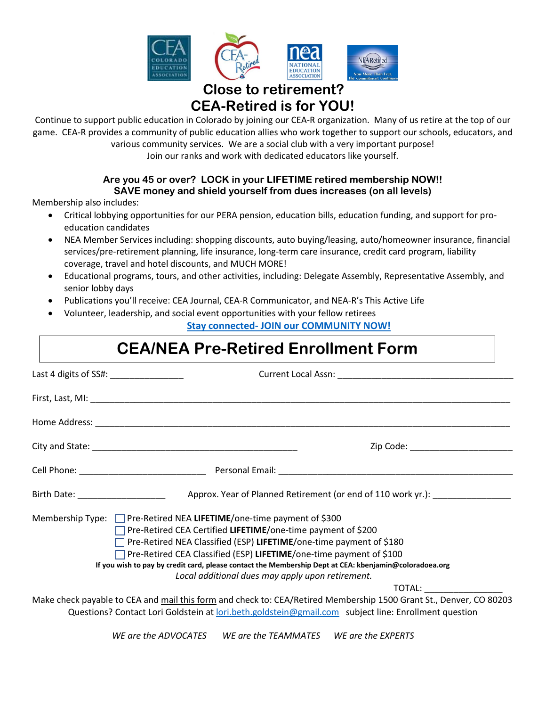

# **Close to retirement? CEA-Retired is for YOU!**

Continue to support public education in Colorado by joining our CEA-R organization. Many of us retire at the top of our game. CEA-R provides a community of public education allies who work together to support our schools, educators, and various community services. We are a social club with a very important purpose!

Join our ranks and work with dedicated educators like yourself.

# **Are you 45 or over? LOCK in your LIFETIME retired membership NOW!! SAVE money and shield yourself from dues increases (on all levels)**

Membership also includes:

- Critical lobbying opportunities for our PERA pension, education bills, education funding, and support for proeducation candidates
- NEA Member Services including: shopping discounts, auto buying/leasing, auto/homeowner insurance, financial services/pre-retirement planning, life insurance, long-term care insurance, credit card program, liability coverage, travel and hotel discounts, and MUCH MORE!
- Educational programs, tours, and other activities, including: Delegate Assembly, Representative Assembly, and senior lobby days
- Publications you'll receive: CEA Journal, CEA-R Communicator, and NEA-R's This Active Life
- Volunteer, leadership, and social event opportunities with your fellow retirees

**Stay connected- [JOIN our COMMUNITY](https://www.coloradoea.org/about/retired-education-employees/) NOW!**

# **CEA/NEA Pre-Retired Enrollment Form**

| Last 4 digits of SS#: _________________ |                                                                                                                                                                                                                                                                                                                                                                                                                                                                   |
|-----------------------------------------|-------------------------------------------------------------------------------------------------------------------------------------------------------------------------------------------------------------------------------------------------------------------------------------------------------------------------------------------------------------------------------------------------------------------------------------------------------------------|
|                                         |                                                                                                                                                                                                                                                                                                                                                                                                                                                                   |
|                                         |                                                                                                                                                                                                                                                                                                                                                                                                                                                                   |
|                                         | Zip Code: _________________________                                                                                                                                                                                                                                                                                                                                                                                                                               |
|                                         |                                                                                                                                                                                                                                                                                                                                                                                                                                                                   |
|                                         |                                                                                                                                                                                                                                                                                                                                                                                                                                                                   |
|                                         | Membership Type: $\Box$ Pre-Retired NEA LIFETIME/one-time payment of \$300<br>□ Pre-Retired CEA Certified LIFETIME/one-time payment of \$200<br>□ Pre-Retired NEA Classified (ESP) LIFETIME/one-time payment of \$180<br>$\Box$ Pre-Retired CEA Classified (ESP) LIFETIME/one-time payment of \$100<br>If you wish to pay by credit card, please contact the Membership Dept at CEA: kbenjamin@coloradoea.org<br>Local additional dues may apply upon retirement. |
|                                         | TOTAL: TOTAL:<br>Make check payable to CEA and mail this form and check to: CEA/Retired Membership 1500 Grant St., Denver, CO 80203<br>Questions? Contact Lori Goldstein at lori.beth.goldstein@gmail.com subject line: Enrollment question                                                                                                                                                                                                                       |

*WE are the ADVOCATES WE are the TEAMMATES WE are the EXPERTS*